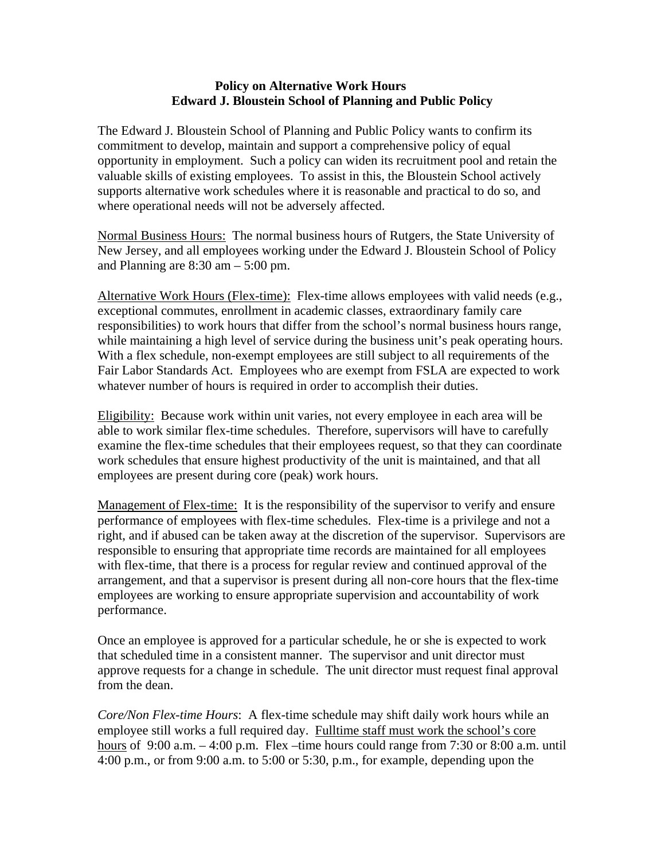## **Policy on Alternative Work Hours Edward J. Bloustein School of Planning and Public Policy**

The Edward J. Bloustein School of Planning and Public Policy wants to confirm its commitment to develop, maintain and support a comprehensive policy of equal opportunity in employment. Such a policy can widen its recruitment pool and retain the valuable skills of existing employees. To assist in this, the Bloustein School actively supports alternative work schedules where it is reasonable and practical to do so, and where operational needs will not be adversely affected.

Normal Business Hours: The normal business hours of Rutgers, the State University of New Jersey, and all employees working under the Edward J. Bloustein School of Policy and Planning are  $8:30$  am  $-5:00$  pm.

Alternative Work Hours (Flex-time): Flex-time allows employees with valid needs (e.g., exceptional commutes, enrollment in academic classes, extraordinary family care responsibilities) to work hours that differ from the school's normal business hours range, while maintaining a high level of service during the business unit's peak operating hours. With a flex schedule, non-exempt employees are still subject to all requirements of the Fair Labor Standards Act. Employees who are exempt from FSLA are expected to work whatever number of hours is required in order to accomplish their duties.

Eligibility: Because work within unit varies, not every employee in each area will be able to work similar flex-time schedules. Therefore, supervisors will have to carefully examine the flex-time schedules that their employees request, so that they can coordinate work schedules that ensure highest productivity of the unit is maintained, and that all employees are present during core (peak) work hours.

Management of Flex-time: It is the responsibility of the supervisor to verify and ensure performance of employees with flex-time schedules. Flex-time is a privilege and not a right, and if abused can be taken away at the discretion of the supervisor. Supervisors are responsible to ensuring that appropriate time records are maintained for all employees with flex-time, that there is a process for regular review and continued approval of the arrangement, and that a supervisor is present during all non-core hours that the flex-time employees are working to ensure appropriate supervision and accountability of work performance.

Once an employee is approved for a particular schedule, he or she is expected to work that scheduled time in a consistent manner. The supervisor and unit director must approve requests for a change in schedule. The unit director must request final approval from the dean.

*Core/Non Flex-time Hours*: A flex-time schedule may shift daily work hours while an employee still works a full required day. Fulltime staff must work the school's core hours of  $9:00$  a.m.  $-4:00$  p.m. Flex –time hours could range from 7:30 or 8:00 a.m. until 4:00 p.m., or from 9:00 a.m. to 5:00 or 5:30, p.m., for example, depending upon the